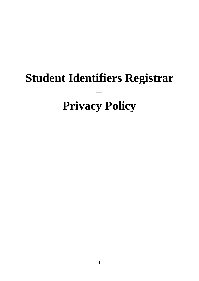# **Student Identifiers Registrar – Privacy Policy**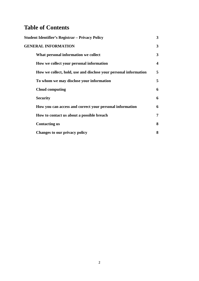# **Table of Contents**

| <b>Student Identifier's Registrar - Privacy Policy</b>           | $\mathbf{3}$ |
|------------------------------------------------------------------|--------------|
| <b>GENERAL INFORMATION</b>                                       | 3            |
| What personal information we collect                             | 3            |
| How we collect your personal information                         | 4            |
| How we collect, hold, use and disclose your personal information | 5            |
| To whom we may disclose your information                         | 5            |
| <b>Cloud computing</b>                                           | 6            |
| <b>Security</b>                                                  | 6            |
| How you can access and correct your personal information         | 6            |
| How to contact us about a possible breach                        | 7            |
| <b>Contacting us</b>                                             | 8            |
| Changes to our privacy policy                                    | 8            |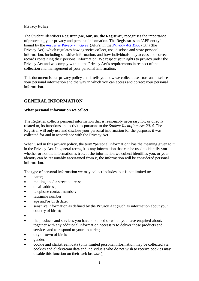# **Privacy Policy**

The Student Identifiers Registrar (**we, our, us, the Registrar**) recognises the importance of protecting your privacy and personal information. The Registrar is an 'APP entity' bound by the [Australian Privacy Principles](http://www.oaic.gov.au/privacy/privacy-resources/privacy-fact-sheets/other/privacy-fact-sheet-17-australian-privacy-principles) (APPs) in the *[Privacy Act 1988](http://www.comlaw.gov.au/Details/C2014C00076)* (Cth) (the Privacy Act), which regulates how agencies collect, use, disclose and store personal information, including sensitive information, and how individuals may access and correct records containing their personal information. We respect your rights to privacy under the Privacy Act and we comply with all the Privacy Act's requirements in respect of the collection and management of your personal information.

This document is our privacy policy and it tells you how we collect, use, store and disclose your personal information and the way in which you can access and correct your personal information.

# **GENERAL INFORMATION**

# **What personal information we collect**

The Registrar collects personal information that is reasonably necessary for, or directly related to, its functions and activities pursuant to the *Student Identifiers Act 2014*. The Registrar will only use and disclose your personal information for the purposes it was collected for and in accordance with the Privacy Act.

When used in this privacy policy, the term "personal information" has the meaning given to it in the Privacy Act. In general terms, it is any information that can be used to identify you whether or not the information is true. If the information we collect identifies you, or your identity can be reasonably ascertained from it, the information will be considered personal information.

The type of personal information we may collect includes, but is not limited to:

- name:
- mailing and/or street address:
- email address:
- telephone contact number;
- facsimile number:
- age and/or birth date:
- sensitive information as defined by the Privacy Act (such as information about your country of birth);
- •
- the products and services you have obtained or which you have enquired about, together with any additional information necessary to deliver those products and services and to respond to your enquiries;
- city or town of birth;
- gender.
- cookie and clickstream data (only limited personal information may be collected via cookies and clickstream data and individuals who do not wish to receive cookies may disable this function on their web browser);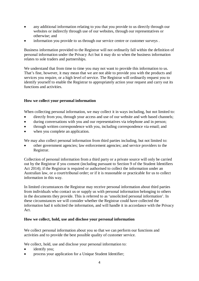- any additional information relating to you that you provide to us directly through our websites or indirectly through use of our websites, through our representatives or otherwise; and
- information you provide to us through our service centre or customer surveys .

Business information provided to the Registrar will not ordinarily fall within the definition of personal information under the Privacy Act but it may do so when the business information relates to sole traders and partnerships.

We understand that from time to time you may not want to provide this information to us. That's fine, however, it may mean that we are not able to provide you with the products and services you require, or a high level of service. The Registrar will ordinarily request you to identify yourself to enable the Registrar to appropriately action your request and carry out its functions and activities.

# **How we collect your personal information**

When collecting personal information, we may collect it in ways including, but not limited to:

- directly from you, through your access and use of our website and web based channels;
- during conversations with you and our representatives via telephone and in person;
- through written correspondence with you, including correspondence via email; and
- when you complete an application.

We may also collect personal information from third parties including, but not limited to:

• other government agencies; law enforcement agencies; and service providers to the Registrar.

Collection of personal information from a third party or a private source will only be carried out by the Registrar if you consent (including pursuant to Section 9 of the Student Identifiers Act 2014); if the Registrar is required or authorised to collect the information under an Australian law, or a court/tribunal order; or if it is reasonable or practicable for us to collect information in this way.

In limited circumstances the Registrar may receive personal information about third parties from individuals who contact us or supply us with personal information belonging to others in the documents they provide. This is referred to as 'unsolicited personal information'. In these circumstances we will consider whether the Registrar could have collected the information had it solicited the information, and will handle it in accordance with the Privacy Act.

# **How we collect, hold, use and disclose your personal information**

We collect personal information about you so that we can perform our functions and activities and to provide the best possible quality of customer service.

We collect, hold, use and disclose your personal information to:

- identify you;
- process your application for a Unique Student Identifier;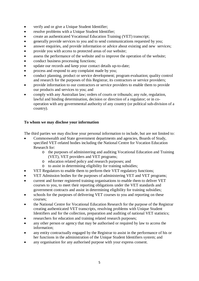- verify and or give a Unique Student Identifier;
- resolve problems with a Unique Student Identifier;
- create an authenticated Vocational Education Training (VET) transcript;
- generally provide services to you and to send communications requested by you;
- answer enquiries, and provide information or advice about existing and new services;
- provide you with access to protected areas of our website;
- assess the performance of the website and to improve the operation of the website;
- conduct business processing functions;
- update our records and keep your contact details up-to-date;
- process and respond to any complaint made by you;
- conduct planning, product or service development; program evaluation; quality control and research for the purposes of this Registrar, its contractors or service providers;
- provide information to our contractors or service providers to enable them to provide our products and services to you; and
- comply with any Australian law; orders of courts or tribunals; any rule, regulation, lawful and binding determination, decision or direction of a regulator; or in cooperation with any governmental authority of any country (or political sub-division of a country).

# **To whom we may disclose your information**

The third parties we may disclose your personal information to include, but are not limited to:

- Commonwealth and State government departments and agencies, Boards of Study, specified VET-related bodies including the National Centre for Vocation Education Research for:
	- o the purposes of administering and auditing Vocational Education and Training (VET), VET providers and VET programs;
	- o education related policy and research purposes; and
	- o to assist in determining eligibility for training subsidies;
- VET Regulators to enable them to perform their VET regulatory functions;
- VET Admission bodies for the purposes of administering VET and VET programs;
- current and former registered training organisations to enable them to deliver VET courses to you, to meet their reporting obligations under the VET standards and government contracts and assist in determining eligibility for training subsidies;
- schools for the purposes of delivering VET courses to you and reporting on these courses;
- the National Centre for Vocational Education Research for the purpose of the Registrar creating authenticated VET transcripts, resolving problems with Unique Student Identifiers and for the collection, preparation and auditing of national VET statistics;
- researchers for education and training related research purposes;
- any other person or agency that may be authorised or required by law to access the information;
- any entity contractually engaged by the Registrar to assist in the performance of his or her functions in the administration of the Unique Student Identifiers system; and
- any organisation for any authorised purpose with your express consent.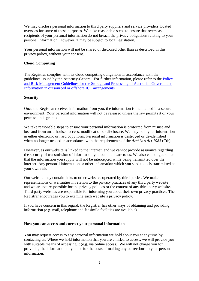We may disclose personal information to third party suppliers and service providers located overseas for some of these purposes. We take reasonable steps to ensure that overseas recipients of your personal information do not breach the privacy obligations relating to your personal information. However, it may be subject to local legislation.

Your personal information will not be shared or disclosed other than as described in this privacy policy, without your consent.

# **Cloud Computing**

The Registrar complies with its cloud computing obligations in accordance with the guidelines issued by the Attorney-General. For further information, please refer to the [Policy](http://www.protectivesecurity.gov.au/informationsecurity/Documents/PolicyandRiskmanagementguidelinesforthestorageandprocessingofAusGovinfoinoutsourcedoroffshoreICTarrangements.pdf)  [and Risk Management Guidelines for the Storage and Processing of Australian Government](http://www.protectivesecurity.gov.au/informationsecurity/Documents/PolicyandRiskmanagementguidelinesforthestorageandprocessingofAusGovinfoinoutsourcedoroffshoreICTarrangements.pdf)  [Information in outsourced or offshore ICT arrangements.](http://www.protectivesecurity.gov.au/informationsecurity/Documents/PolicyandRiskmanagementguidelinesforthestorageandprocessingofAusGovinfoinoutsourcedoroffshoreICTarrangements.pdf) 

#### **Security**

Once the Registrar receives information from you, the information is maintained in a secure environment. Your personal information will not be released unless the law permits it or your permission is granted.

We take reasonable steps to ensure your personal information is protected from misuse and loss and from unauthorised access, modification or disclosure. We may hold your information in either electronic or hard copy form. Personal information is destroyed or de-identified when no longer needed in accordance with the requirements of the *Archives Act 1983* (Cth).

However, as our website is linked to the internet, and we cannot provide assurance regarding the security of transmission of information you communicate to us. We also cannot guarantee that the information you supply will not be intercepted while being transmitted over the internet. Any personal information or other information which you send to us is transmitted at your own risk.

Our website may contain links to other websites operated by third parties. We make no representations or warranties in relation to the privacy practices of any third party website and we are not responsible for the privacy policies or the content of any third party website. Third party websites are responsible for informing you about their own privacy practices. The Registrar encourages you to examine each website's privacy policy.

If you have concern in this regard, the Registrar has other ways of obtaining and providing information (e.g. mail, telephone and facsimile facilities are available).

#### **How you can access and correct your personal information**

You may request access to any personal information we hold about you at any time by contacting us. Where we hold information that you are entitled to access, we will provide you with suitable means of accessing it (e.g. via online access). We will not charge you for providing the information to you, or for the costs of making any corrections to your personal information.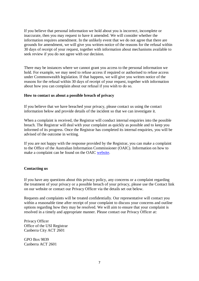If you believe that personal information we hold about you is incorrect, incomplete or inaccurate, then you may request to have it amended. We will consider whether the information requires amendment. In the unlikely event that we do not agree that there are grounds for amendment, we will give you written notice of the reasons for the refusal within 30 days of receipt of your request, together with information about mechanisms available to seek review if you do not agree with our decision.

There may be instances where we cannot grant you access to the personal information we hold. For example, we may need to refuse access if required or authorised to refuse access under Commonwealth legislation. If that happens, we will give you written notice of the reasons for the refusal within 30 days of receipt of your request, together with information about how you can complain about our refusal if you wish to do so.

#### **How to contact us about a possible breach of privacy**

If you believe that we have breached your privacy, please contact us using the contact information below and provide details of the incident so that we can investigate it.

When a complaint is received, the Registrar will conduct internal enquiries into the possible breach. The Registrar will deal with your complaint as quickly as possible and to keep you informed of its progress. Once the Registrar has completed its internal enquiries, you will be advised of the outcome in writing.

If you are not happy with the response provided by the Registrar, you can make a complaint to the Office of the Australian Information Commissioner (OAIC). Information on how to make a complaint can be found on the OAIC [website.](http://www.oaic.gov.au/privacy/privacy-complaints)

#### **Contacting us**

If you have any questions about this privacy policy, any concerns or a complaint regarding the treatment of your privacy or a possible breach of your privacy, please use the Contact link on our website or contact our Privacy Officer via the details set out below.

Requests and complaints will be treated confidentially. Our representative will contact you within a reasonable time after receipt of your complaint to discuss your concerns and outline options regarding how they may be resolved. We will aim to ensure that your complaint is resolved in a timely and appropriate manner. Please contact our Privacy Officer at:

Privacy Officer Office of the USI Registrar Canberra City ACT 2601

GPO Box 9839 Canberra ACT 2601